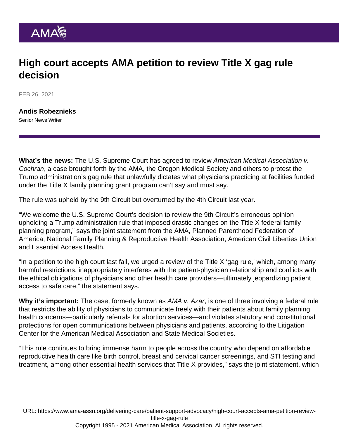## High court accepts AMA petition to review Title X gag rule decision

FEB 26, 2021

[Andis Robeznieks](https://www.ama-assn.org/news-leadership-viewpoints/authors-news-leadership-viewpoints/andis-robeznieks) Senior News Writer

What's the news: The U.S. Supreme Court has agreed to review American Medical Association v. Cochran, a case brought forth by the AMA, the Oregon Medical Society and others to protest the Trump administration's gag rule that unlawfully dictates what physicians practicing at facilities funded under the Title X family planning grant program can't say and must say.

The rule was upheld by the 9th Circuit but overturned by the 4th Circuit last year.

"We welcome the U.S. Supreme Court's decision to review the [9th Circuit's erroneous opinion](https://www.ama-assn.org/delivering-care/patient-support-advocacy/us-appeals-court-upholds-title-x-gag-rule-physicians) upholding a Trump administration rule that imposed drastic changes on the Title X federal family planning program," says the joint statement from the AMA, Planned Parenthood Federation of America, National Family Planning & Reproductive Health Association, American Civil Liberties Union and Essential Access Health.

["In a petition](https://www.ama-assn.org/delivering-care/patient-support-advocacy/why-supreme-court-should-take-title-x-gag-rule-case) to the high court last fall, we urged a review of the Title X 'gag rule,' which, among many harmful restrictions, inappropriately interferes with the patient-physician relationship and conflicts with the ethical obligations of physicians and other health care providers—ultimately jeopardizing patient access to safe care," the statement says.

Why it's important: The case, formerly known [as AMA v. Azar](https://searchlf.ama-assn.org/case/documentDownload?uri=/unstructured/binary/case/Case-Summary_American-Med-Assoc-v-Azar.pdf), is one of three involving a federal rule that restricts the ability of physicians to communicate freely with their patients about family planning health concerns—particularly referrals for abortion services—and violates statutory and constitutional protections for open communications between physicians and patients, according to the [Litigation](https://www.ama-assn.org/health-care-advocacy/judicial-advocacy/litigation-center) [Center for the American Medical Association and State Medical Societies](https://www.ama-assn.org/health-care-advocacy/judicial-advocacy/litigation-center).

"This rule continues to bring immense harm to people across the country who depend on affordable reproductive health care like birth control, breast and cervical cancer screenings, and STI testing and treatment, among other essential health services that Title X provides," says the joint statement, which

URL: [https://www.ama-assn.org/delivering-care/patient-support-advocacy/high-court-accepts-ama-petition-review](https://www.ama-assn.org/delivering-care/patient-support-advocacy/high-court-accepts-ama-petition-review-title-x-gag-rule)[title-x-gag-rule](https://www.ama-assn.org/delivering-care/patient-support-advocacy/high-court-accepts-ama-petition-review-title-x-gag-rule) Copyright 1995 - 2021 American Medical Association. All rights reserved.